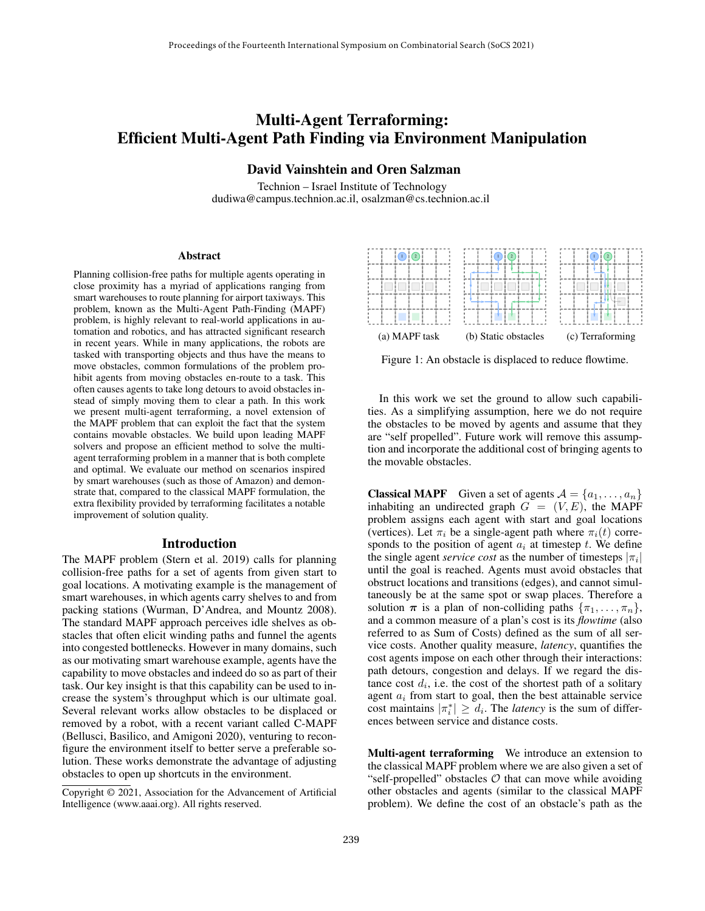# Multi-Agent Terraforming: Efficient Multi-Agent Path Finding via Environment Manipulation

## David Vainshtein and Oren Salzman

Technion – Israel Institute of Technology dudiwa@campus.technion.ac.il, osalzman@cs.technion.ac.il

#### Abstract

Planning collision-free paths for multiple agents operating in close proximity has a myriad of applications ranging from smart warehouses to route planning for airport taxiways. This problem, known as the Multi-Agent Path-Finding (MAPF) problem, is highly relevant to real-world applications in automation and robotics, and has attracted significant research in recent years. While in many applications, the robots are tasked with transporting objects and thus have the means to move obstacles, common formulations of the problem prohibit agents from moving obstacles en-route to a task. This often causes agents to take long detours to avoid obstacles instead of simply moving them to clear a path. In this work we present multi-agent terraforming, a novel extension of the MAPF problem that can exploit the fact that the system contains movable obstacles. We build upon leading MAPF solvers and propose an efficient method to solve the multiagent terraforming problem in a manner that is both complete and optimal. We evaluate our method on scenarios inspired by smart warehouses (such as those of Amazon) and demonstrate that, compared to the classical MAPF formulation, the extra flexibility provided by terraforming facilitates a notable improvement of solution quality.

## Introduction

The MAPF problem (Stern et al. 2019) calls for planning collision-free paths for a set of agents from given start to goal locations. A motivating example is the management of smart warehouses, in which agents carry shelves to and from packing stations (Wurman, D'Andrea, and Mountz 2008). The standard MAPF approach perceives idle shelves as obstacles that often elicit winding paths and funnel the agents into congested bottlenecks. However in many domains, such as our motivating smart warehouse example, agents have the capability to move obstacles and indeed do so as part of their task. Our key insight is that this capability can be used to increase the system's throughput which is our ultimate goal. Several relevant works allow obstacles to be displaced or removed by a robot, with a recent variant called C-MAPF (Bellusci, Basilico, and Amigoni 2020), venturing to reconfigure the environment itself to better serve a preferable solution. These works demonstrate the advantage of adjusting obstacles to open up shortcuts in the environment.



Figure 1: An obstacle is displaced to reduce flowtime.

In this work we set the ground to allow such capabilities. As a simplifying assumption, here we do not require the obstacles to be moved by agents and assume that they are "self propelled". Future work will remove this assumption and incorporate the additional cost of bringing agents to the movable obstacles.

**Classical MAPF** Given a set of agents  $A = \{a_1, \ldots, a_n\}$ inhabiting an undirected graph  $G = (V, E)$ , the MAPF problem assigns each agent with start and goal locations (vertices). Let  $\pi_i$  be a single-agent path where  $\pi_i(t)$  corresponds to the position of agent  $a_i$  at timestep  $t$ . We define the single agent *service cost* as the number of timesteps  $|\pi_i|$ until the goal is reached. Agents must avoid obstacles that obstruct locations and transitions (edges), and cannot simultaneously be at the same spot or swap places. Therefore a solution  $\pi$  is a plan of non-colliding paths  $\{\pi_1, \ldots, \pi_n\}$ , and a common measure of a plan's cost is its *flowtime* (also referred to as Sum of Costs) defined as the sum of all service costs. Another quality measure, *latency*, quantifies the cost agents impose on each other through their interactions: path detours, congestion and delays. If we regard the distance cost  $d_i$ , i.e. the cost of the shortest path of a solitary agent  $a_i$  from start to goal, then the best attainable service cost maintains  $|\pi_i^*| \ge d_i$ . The *latency* is the sum of differences between service and distance costs.

Multi-agent terraforming We introduce an extension to the classical MAPF problem where we are also given a set of "self-propelled" obstacles  $O$  that can move while avoiding other obstacles and agents (similar to the classical MAPF problem). We define the cost of an obstacle's path as the

Copyright © 2021, Association for the Advancement of Artificial Intelligence (www.aaai.org). All rights reserved.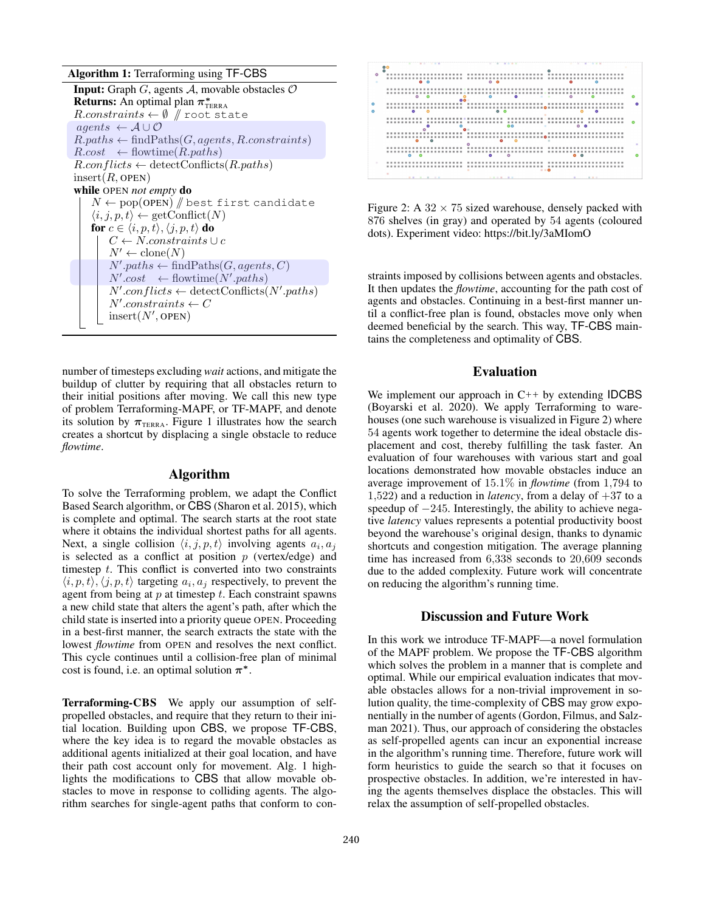Algorithm 1: Terraforming using TF-CBS

| <b>Input:</b> Graph G, agents A, movable obstacles $\mathcal{O}$   |
|--------------------------------------------------------------------|
| <b>Returns:</b> An optimal plan $\pi^*_{\text{TERRA}}$             |
| $R. constraints \leftarrow \emptyset$ / root state                 |
| $agents \leftarrow A \cup O$                                       |
| $R.paths \leftarrow findPaths(G, agents, R. constraints)$          |
| $R.cost \leftarrow flowtime(R.path)$                               |
| $R.configlicts \leftarrow detectConflicts(R.path)$                 |
| $insert(R,$ OPEN)                                                  |
| while OPEN not empty do                                            |
| $N \leftarrow \text{pop(OPEN)}$ / best first candidate             |
| $\langle i, j, p, t \rangle \leftarrow \text{getConflict}(N)$      |
| for $c \in \langle i, p, t \rangle$ , $\langle j, p, t \rangle$ do |
| $C \leftarrow N \cdot constants \cup c$                            |
| $N' \leftarrow \text{clone}(N)$                                    |
| $N'.paths \leftarrow findPaths(G, agents, C)$                      |
| $N'.cost \leftarrow flowtime(N'.paths)$                            |
| $N'.conflicts \leftarrow detectConflicts(N'.paths)$                |
| $N'.constraints \leftarrow C$                                      |
| $insert(N',$ OPEN)                                                 |
|                                                                    |

number of timesteps excluding *wait* actions, and mitigate the buildup of clutter by requiring that all obstacles return to their initial positions after moving. We call this new type of problem Terraforming-MAPF, or TF-MAPF, and denote its solution by  $\pi_{TERRA}$ . Figure 1 illustrates how the search creates a shortcut by displacing a single obstacle to reduce *flowtime*.

## Algorithm

To solve the Terraforming problem, we adapt the Conflict Based Search algorithm, or CBS (Sharon et al. 2015), which is complete and optimal. The search starts at the root state where it obtains the individual shortest paths for all agents. Next, a single collision  $\langle i, j, p, t \rangle$  involving agents  $a_i, a_j$ is selected as a conflict at position  $p$  (vertex/edge) and timestep  $t$ . This conflict is converted into two constraints  $\langle i, p, t \rangle$ ,  $\langle j, p, t \rangle$  targeting  $a_i, a_j$  respectively, to prevent the agent from being at  $p$  at timestep  $t$ . Each constraint spawns a new child state that alters the agent's path, after which the child state is inserted into a priority queue OPEN. Proceeding in a best-first manner, the search extracts the state with the lowest *flowtime* from OPEN and resolves the next conflict. This cycle continues until a collision-free plan of minimal cost is found, i.e. an optimal solution  $\pi^*$ .

Terraforming-CBS We apply our assumption of selfpropelled obstacles, and require that they return to their initial location. Building upon CBS, we propose TF-CBS, where the key idea is to regard the movable obstacles as additional agents initialized at their goal location, and have their path cost account only for movement. Alg. 1 highlights the modifications to CBS that allow movable obstacles to move in response to colliding agents. The algorithm searches for single-agent paths that conform to con-



Figure 2: A  $32 \times 75$  sized warehouse, densely packed with 876 shelves (in gray) and operated by 54 agents (coloured dots). Experiment video: https://bit.ly/3aMIomO

straints imposed by collisions between agents and obstacles. It then updates the *flowtime*, accounting for the path cost of agents and obstacles. Continuing in a best-first manner until a conflict-free plan is found, obstacles move only when deemed beneficial by the search. This way, TF-CBS maintains the completeness and optimality of CBS.

### Evaluation

We implement our approach in  $C_{++}$  by extending **IDCBS** (Boyarski et al. 2020). We apply Terraforming to warehouses (one such warehouse is visualized in Figure 2) where 54 agents work together to determine the ideal obstacle displacement and cost, thereby fulfilling the task faster. An evaluation of four warehouses with various start and goal locations demonstrated how movable obstacles induce an average improvement of 15.1% in *flowtime* (from 1,794 to 1,522) and a reduction in *latency*, from a delay of  $+37$  to a speedup of −245. Interestingly, the ability to achieve negative *latency* values represents a potential productivity boost beyond the warehouse's original design, thanks to dynamic shortcuts and congestion mitigation. The average planning time has increased from 6,338 seconds to 20,609 seconds due to the added complexity. Future work will concentrate on reducing the algorithm's running time.

#### Discussion and Future Work

In this work we introduce TF-MAPF—a novel formulation of the MAPF problem. We propose the TF-CBS algorithm which solves the problem in a manner that is complete and optimal. While our empirical evaluation indicates that movable obstacles allows for a non-trivial improvement in solution quality, the time-complexity of CBS may grow exponentially in the number of agents (Gordon, Filmus, and Salzman 2021). Thus, our approach of considering the obstacles as self-propelled agents can incur an exponential increase in the algorithm's running time. Therefore, future work will form heuristics to guide the search so that it focuses on prospective obstacles. In addition, we're interested in having the agents themselves displace the obstacles. This will relax the assumption of self-propelled obstacles.